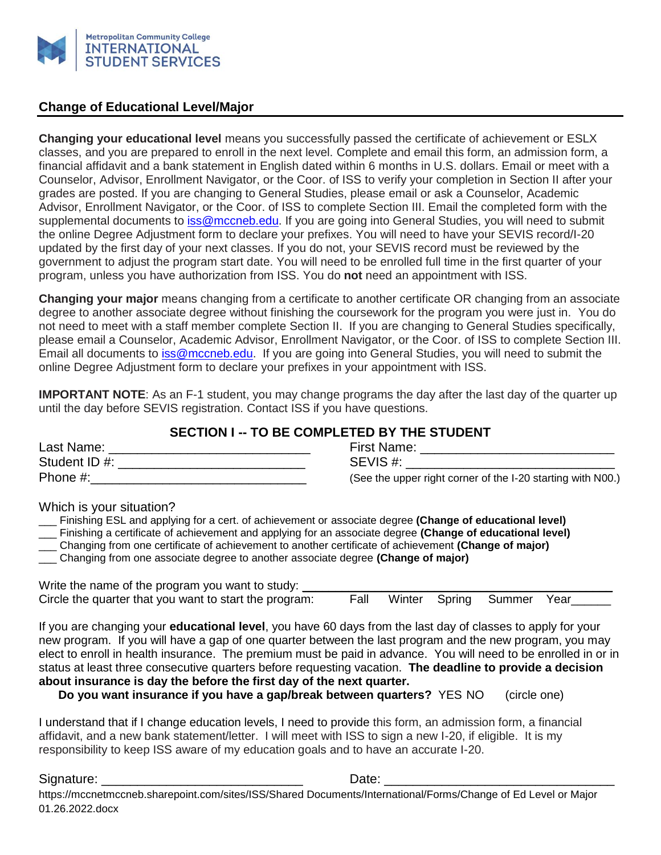

#### **Change of Educational Level/Major**

**Changing your educational level** means you successfully passed the certificate of achievement or ESLX classes, and you are prepared to enroll in the next level. Complete and email this form, an admission form, a financial affidavit and a bank statement in English dated within 6 months in U.S. dollars. Email or meet with a Counselor, Advisor, Enrollment Navigator, or the Coor. of ISS to verify your completion in Section II after your grades are posted. If you are changing to General Studies, please email or ask a Counselor, Academic Advisor, Enrollment Navigator, or the Coor. of ISS to complete Section III. Email the completed form with the supplemental documents to [iss@mccneb.edu.](mailto:iss@mccneb.edu) If you are going into General Studies, you will need to submit the online Degree Adjustment form to declare your prefixes. You will need to have your SEVIS record/I-20 updated by the first day of your next classes. If you do not, your SEVIS record must be reviewed by the government to adjust the program start date. You will need to be enrolled full time in the first quarter of your program, unless you have authorization from ISS. You do **not** need an appointment with ISS.

**Changing your major** means changing from a certificate to another certificate OR changing from an associate degree to another associate degree without finishing the coursework for the program you were just in. You do not need to meet with a staff member complete Section II. If you are changing to General Studies specifically, please email a Counselor, Academic Advisor, Enrollment Navigator, or the Coor. of ISS to complete Section III. Email all documents to [iss@mccneb.edu.](mailto:iss@mccneb.edu) If you are going into General Studies, you will need to submit the online Degree Adjustment form to declare your prefixes in your appointment with ISS.

**IMPORTANT NOTE:** As an F-1 student, you may change programs the day after the last day of the quarter up until the day before SEVIS registration. Contact ISS if you have questions.

## **SECTION I -- TO BE COMPLETED BY THE STUDENT**

| Last Name:    | <b>First Name:</b>                                          |
|---------------|-------------------------------------------------------------|
| Student ID #: | SEVIS#:                                                     |
| Phone $#$ :   | (See the upper right corner of the I-20 starting with N00.) |

Which is your situation?

| Finishing ESL and applying for a cert. of achievement or associate degree (Change of educational level)   |  |
|-----------------------------------------------------------------------------------------------------------|--|
| Finishing a certificate of achievement and applying for an associate degree (Change of educational level) |  |
| Changing from one certificate of achievement to another certificate of achievement (Change of major)      |  |
| Changing from one associate degree to another associate degree (Change of major)                          |  |
|                                                                                                           |  |
| Write the name of the program you want to study:                                                          |  |

| Write the name of the program you want to study:       |      |  |                           |  |
|--------------------------------------------------------|------|--|---------------------------|--|
| Circle the quarter that you want to start the program: | Fall |  | Winter Spring Summer Year |  |

If you are changing your **educational level**, you have 60 days from the last day of classes to apply for your new program. If you will have a gap of one quarter between the last program and the new program, you may elect to enroll in health insurance. The premium must be paid in advance. You will need to be enrolled in or in status at least three consecutive quarters before requesting vacation. **The deadline to provide a decision about insurance is day the before the first day of the next quarter.**

**Do you want insurance if you have a gap/break between quarters?** YES NO (circle one)

I understand that if I change education levels, I need to provide this form, an admission form, a financial affidavit, and a new bank statement/letter. I will meet with ISS to sign a new I-20, if eligible. It is my responsibility to keep ISS aware of my education goals and to have an accurate I-20.

Signature: \_\_\_\_\_\_\_\_\_\_\_\_\_\_\_\_\_\_\_\_\_\_\_\_\_\_\_\_ Date: \_\_\_\_\_\_\_\_\_\_\_\_\_\_\_\_\_\_\_\_\_\_\_\_\_\_\_\_\_\_\_\_

https://mccnetmccneb.sharepoint.com/sites/ISS/Shared Documents/International/Forms/Change of Ed Level or Major 01.26.2022.docx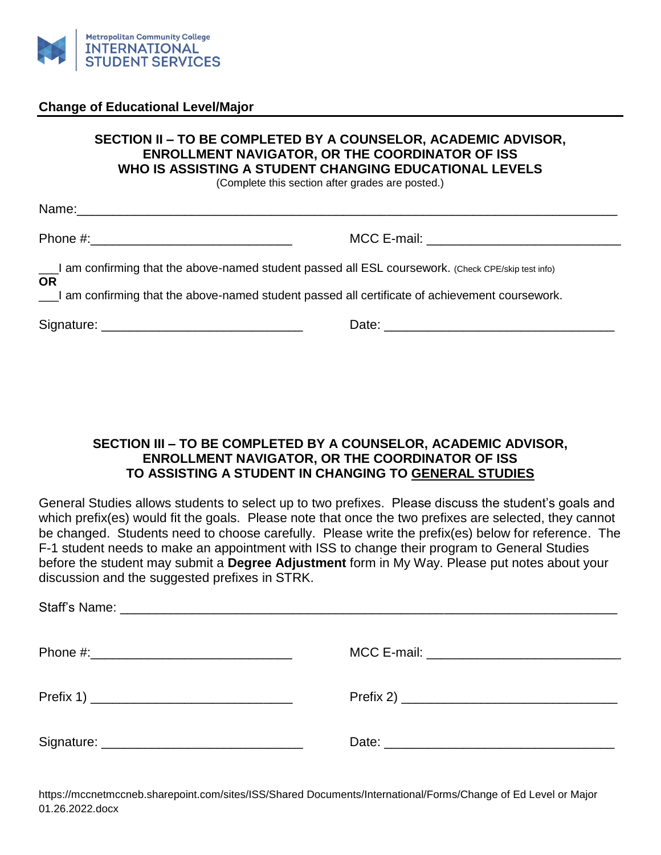

### **Change of Educational Level/Major**

# **SECTION II – TO BE COMPLETED BY A COUNSELOR, ACADEMIC ADVISOR, ENROLLMENT NAVIGATOR, OR THE COORDINATOR OF ISS WHO IS ASSISTING A STUDENT CHANGING EDUCATIONAL LEVELS**

(Complete this section after grades are posted.)

| I am confirming that the above-named student passed all ESL coursework. (Check CPE/skip test info)<br><b>OR</b> |  |  |  |
|-----------------------------------------------------------------------------------------------------------------|--|--|--|
| I am confirming that the above-named student passed all certificate of achievement coursework.                  |  |  |  |
|                                                                                                                 |  |  |  |

#### **SECTION III – TO BE COMPLETED BY A COUNSELOR, ACADEMIC ADVISOR, ENROLLMENT NAVIGATOR, OR THE COORDINATOR OF ISS TO ASSISTING A STUDENT IN CHANGING TO GENERAL STUDIES**

General Studies allows students to select up to two prefixes. Please discuss the student's goals and which prefix(es) would fit the goals. Please note that once the two prefixes are selected, they cannot be changed. Students need to choose carefully. Please write the prefix(es) below for reference. The F-1 student needs to make an appointment with ISS to change their program to General Studies before the student may submit a **Degree Adjustment** form in My Way. Please put notes about your discussion and the suggested prefixes in STRK.

https://mccnetmccneb.sharepoint.com/sites/ISS/Shared Documents/International/Forms/Change of Ed Level or Major 01.26.2022.docx